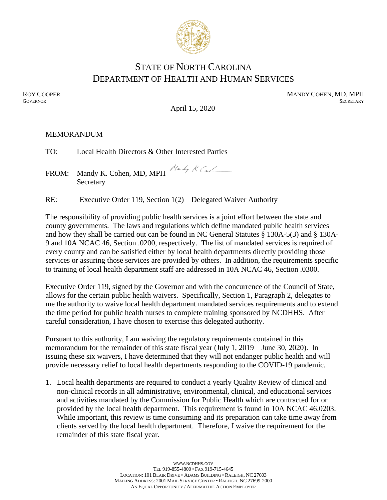

## STATE OF NORTH CAROLINA DEPARTMENT OF HEALTH AND HUMAN SERVICES

ROY COOPER MANDY COHEN, MD, MPH GOVERNOR SECRETARY **GOVERNOR** SECRETARY SECRETARY

April 15, 2020

#### MEMORANDUM

TO: Local Health Directors & Other Interested Parties

FROM: Mandy K. Cohen, MD, MPH  $\frac{N_{a-1}}{N}$  K Ca Secretary

RE: Executive Order 119, Section 1(2) – Delegated Waiver Authority

The responsibility of providing public health services is a joint effort between the state and county governments. The laws and regulations which define mandated public health services and how they shall be carried out can be found in NC General Statutes § 130A-5(3) and § 130A-9 and 10A NCAC 46, Section .0200, respectively. The list of mandated services is required of every county and can be satisfied either by local health departments directly providing those services or assuring those services are provided by others. In addition, the requirements specific to training of local health department staff are addressed in 10A NCAC 46, Section .0300.

Executive Order 119, signed by the Governor and with the concurrence of the Council of State, allows for the certain public health waivers. Specifically, Section 1, Paragraph 2, delegates to me the authority to waive local health department mandated services requirements and to extend the time period for public health nurses to complete training sponsored by NCDHHS. After careful consideration, I have chosen to exercise this delegated authority.

Pursuant to this authority, I am waiving the regulatory requirements contained in this memorandum for the remainder of this state fiscal year (July 1, 2019 – June 30, 2020). In issuing these six waivers, I have determined that they will not endanger public health and will provide necessary relief to local health departments responding to the COVID-19 pandemic.

1. Local health departments are required to conduct a yearly Quality Review of clinical and non-clinical records in all administrative, environmental, clinical, and educational services and activities mandated by the Commission for Public Health which are contracted for or provided by the local health department. This requirement is found in 10A NCAC 46.0203. While important, this review is time consuming and its preparation can take time away from clients served by the local health department. Therefore, I waive the requirement for the remainder of this state fiscal year.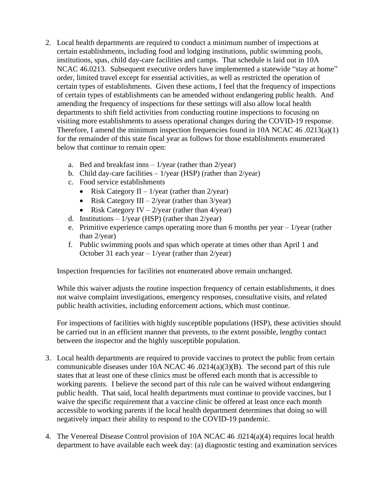- 2. Local health departments are required to conduct a minimum number of inspections at certain establishments, including food and lodging institutions, public swimming pools, institutions, spas, child day-care facilities and camps. That schedule is laid out in 10A NCAC 46.0213. Subsequent executive orders have implemented a statewide "stay at home" order, limited travel except for essential activities, as well as restricted the operation of certain types of establishments. Given these actions, I feel that the frequency of inspections of certain types of establishments can be amended without endangering public health. And amending the frequency of inspections for these settings will also allow local health departments to shift field activities from conducting routine inspections to focusing on visiting more establishments to assess operational changes during the COVID-19 response. Therefore, I amend the minimum inspection frequencies found in 10A NCAC 46 .0213(a)(1) for the remainder of this state fiscal year as follows for those establishments enumerated below that continue to remain open:
	- a. Bed and breakfast inns  $-1$ /year (rather than  $2$ /year)
	- b. Child day-care facilities  $-1$ /year (HSP) (rather than  $2$ /year)
	- c. Food service establishments
		- Risk Category  $II 1$ /year (rather than  $2$ /year)
		- Risk Category III  $2$ /year (rather than  $3$ /year)
		- Risk Category IV  $2$ /year (rather than 4/year)
	- d. Institutions  $-1$ /year (HSP) (rather than  $2$ /year)
	- e. Primitive experience camps operating more than 6 months per year  $-1$ /year (rather than 2/year)
	- f. Public swimming pools and spas which operate at times other than April 1 and October 31 each year –  $1$ /year (rather than  $2$ /year)

Inspection frequencies for facilities not enumerated above remain unchanged.

While this waiver adjusts the routine inspection frequency of certain establishments, it does not waive complaint investigations, emergency responses, consultative visits, and related public health activities, including enforcement actions, which must continue.

For inspections of facilities with highly susceptible populations (HSP), these activities should be carried out in an efficient manner that prevents, to the extent possible, lengthy contact between the inspector and the highly susceptible population.

- 3. Local health departments are required to provide vaccines to protect the public from certain communicable diseases under 10A NCAC 46 .0214(a)(3)(B). The second part of this rule states that at least one of these clinics must be offered each month that is accessible to working parents. I believe the second part of this rule can be waived without endangering public health. That said, local health departments must continue to provide vaccines, but I waive the specific requirement that a vaccine clinic be offered at least once each month accessible to working parents if the local health department determines that doing so will negatively impact their ability to respond to the COVID-19 pandemic.
- 4. The Venereal Disease Control provision of 10A NCAC 46 .0214(a)(4) requires local health department to have available each week day: (a) diagnostic testing and examination services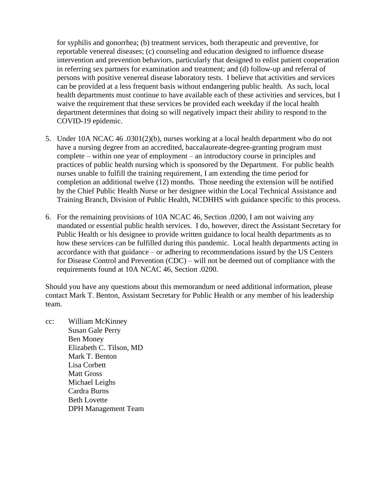for syphilis and gonorrhea; (b) treatment services, both therapeutic and preventive, for reportable venereal diseases; (c) counseling and education designed to influence disease intervention and prevention behaviors, particularly that designed to enlist patient cooperation in referring sex partners for examination and treatment; and (d) follow-up and referral of persons with positive venereal disease laboratory tests. I believe that activities and services can be provided at a less frequent basis without endangering public health. As such, local health departments must continue to have available each of these activities and services, but I waive the requirement that these services be provided each weekday if the local health department determines that doing so will negatively impact their ability to respond to the COVID-19 epidemic.

- 5. Under 10A NCAC 46 .0301(2)(b), nurses working at a local health department who do not have a nursing degree from an accredited, baccalaureate-degree-granting program must complete – within one year of employment – an introductory course in principles and practices of public health nursing which is sponsored by the Department. For public health nurses unable to fulfill the training requirement, I am extending the time period for completion an additional twelve (12) months. Those needing the extension will be notified by the Chief Public Health Nurse or her designee within the Local Technical Assistance and Training Branch, Division of Public Health, NCDHHS with guidance specific to this process.
- 6. For the remaining provisions of 10A NCAC 46, Section .0200, I am not waiving any mandated or essential public health services. I do, however, direct the Assistant Secretary for Public Health or his designee to provide written guidance to local health departments as to how these services can be fulfilled during this pandemic. Local health departments acting in accordance with that guidance – or adhering to recommendations issued by the US Centers for Disease Control and Prevention (CDC) – will not be deemed out of compliance with the requirements found at 10A NCAC 46, Section .0200.

Should you have any questions about this memorandum or need additional information, please contact Mark T. Benton, Assistant Secretary for Public Health or any member of his leadership team.

cc: William McKinney Susan Gale Perry Ben Money Elizabeth C. Tilson, MD Mark T. Benton Lisa Corbett Matt Gross Michael Leighs Cardra Burns Beth Lovette DPH Management Team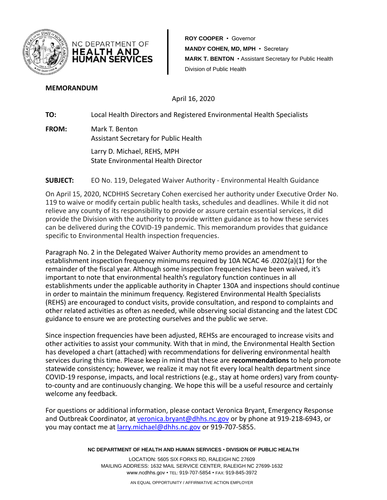

**ROY COOPER** • Governor **MANDY COHEN, MD, MPH** • Secretary **MARK T. BENTON** • Assistant Secretary for Public Health Division of Public Health

#### **MEMORANDUM**

April 16, 2020

**TO:** Local Health Directors and Registered Environmental Health Specialists

**FROM:** Mark T. Benton Assistant Secretary for Public Health

NC DEPARTMENT OF **HEALTH AND HUMAN SERVICES** 

> Larry D. Michael, REHS, MPH State Environmental Health Director

### **SUBJECT:** EO No. 119, Delegated Waiver Authority - Environmental Health Guidance

On April 15, 2020, NCDHHS Secretary Cohen exercised her authority under Executive Order No. 119 to waive or modify certain public health tasks, schedules and deadlines. While it did not relieve any county of its responsibility to provide or assure certain essential services, it did provide the Division with the authority to provide written guidance as to how these services can be delivered during the COVID-19 pandemic. This memorandum provides that guidance specific to Environmental Health inspection frequencies.

Paragraph No. 2 in the Delegated Waiver Authority memo provides an amendment to establishment inspection frequency minimums required by 10A NCAC 46 .0202(a)(1) for the remainder of the fiscal year. Although some inspection frequencies have been waived, it's important to note that environmental health's regulatory function continues in all establishments under the applicable authority in Chapter 130A and inspections should continue in order to maintain the minimum frequency. Registered Environmental Health Specialists (REHS) are encouraged to conduct visits, provide consultation, and respond to complaints and other related activities as often as needed, while observing social distancing and the latest CDC guidance to ensure we are protecting ourselves and the public we serve.

Since inspection frequencies have been adjusted, REHSs are encouraged to increase visits and other activities to assist your community. With that in mind, the Environmental Health Section has developed a chart (attached) with recommendations for delivering environmental health services during this time. Please keep in mind that these are **recommendations** to help promote statewide consistency; however, we realize it may not fit every local health department since COVID-19 response, impacts, and local restrictions (e.g., stay at home orders) vary from countyto-county and are continuously changing. We hope this will be a useful resource and certainly welcome any feedback.

For questions or additional information, please contact Veronica Bryant, Emergency Response and Outbreak Coordinator, at [veronica.bryant@dhhs.nc.gov](mailto:veronica.bryant@dhhs.nc.gov) or by phone at 919-218-6943, or you may contact me at [larry.michael@dhhs.nc.gov](mailto:larry.michael@dhhs.nc.gov) or 919-707-5855.

**NC DEPARTMENT OF HEALTH AND HUMAN SERVICES** • **DIVISION OF PUBLIC HEALTH**

LOCATION: 5605 SIX FORKS RD, RALEIGH NC 27609 MAILING ADDRESS: 1632 MAIL SERVICE CENTER, RALEIGH NC 27699-1632 www.ncdhhs.gov • TEL: 919-707-5854 • FAX: 919-845-3972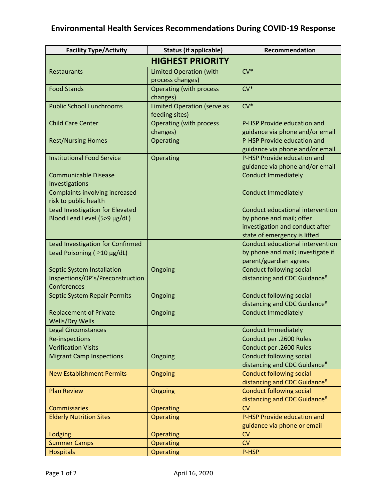# **Environmental Health Services Recommendations During COVID-19 Response**

| <b>Facility Type/Activity</b>                                                 | <b>Status (if applicable)</b>                        | Recommendation                                                                                                                  |  |
|-------------------------------------------------------------------------------|------------------------------------------------------|---------------------------------------------------------------------------------------------------------------------------------|--|
| <b>HIGHEST PRIORITY</b>                                                       |                                                      |                                                                                                                                 |  |
| Restaurants                                                                   | <b>Limited Operation (with</b><br>process changes)   | $CV*$                                                                                                                           |  |
| <b>Food Stands</b>                                                            | <b>Operating (with process</b><br>changes)           | $CV*$                                                                                                                           |  |
| <b>Public School Lunchrooms</b>                                               | <b>Limited Operation (serve as</b><br>feeding sites) | $CV*$                                                                                                                           |  |
| <b>Child Care Center</b>                                                      | <b>Operating (with process</b><br>changes)           | P-HSP Provide education and<br>guidance via phone and/or email                                                                  |  |
| <b>Rest/Nursing Homes</b>                                                     | Operating                                            | P-HSP Provide education and<br>guidance via phone and/or email                                                                  |  |
| <b>Institutional Food Service</b>                                             | Operating                                            | P-HSP Provide education and<br>guidance via phone and/or email                                                                  |  |
| <b>Communicable Disease</b><br>Investigations                                 |                                                      | <b>Conduct Immediately</b>                                                                                                      |  |
| Complaints involving increased<br>risk to public health                       |                                                      | <b>Conduct Immediately</b>                                                                                                      |  |
| Lead Investigation for Elevated<br>Blood Lead Level (5>9 µg/dL)               |                                                      | Conduct educational intervention<br>by phone and mail; offer<br>investigation and conduct after<br>state of emergency is lifted |  |
| Lead Investigation for Confirmed<br>Lead Poisoning ( $\geq$ 10 µg/dL)         |                                                      | Conduct educational intervention<br>by phone and mail; investigate if<br>parent/guardian agrees                                 |  |
| Septic System Installation<br>Inspections/OP's/Preconstruction<br>Conferences | Ongoing                                              | <b>Conduct following social</b><br>distancing and CDC Guidance <sup>#</sup>                                                     |  |
| Septic System Repair Permits                                                  | Ongoing                                              | <b>Conduct following social</b><br>distancing and CDC Guidance <sup>#</sup>                                                     |  |
| <b>Replacement of Private</b><br><b>Wells/Dry Wells</b>                       | Ongoing                                              | <b>Conduct Immediately</b>                                                                                                      |  |
| <b>Legal Circumstances</b>                                                    |                                                      | <b>Conduct Immediately</b>                                                                                                      |  |
| Re-inspections                                                                |                                                      | Conduct per .2600 Rules                                                                                                         |  |
| <b>Verification Visits</b>                                                    |                                                      | Conduct per .2600 Rules                                                                                                         |  |
| <b>Migrant Camp Inspections</b>                                               | Ongoing                                              | <b>Conduct following social</b><br>distancing and CDC Guidance <sup>#</sup>                                                     |  |
| <b>New Establishment Permits</b>                                              | Ongoing                                              | <b>Conduct following social</b><br>distancing and CDC Guidance <sup>#</sup>                                                     |  |
| <b>Plan Review</b>                                                            | Ongoing                                              | <b>Conduct following social</b><br>distancing and CDC Guidance <sup>#</sup>                                                     |  |
| <b>Commissaries</b>                                                           | <b>Operating</b>                                     | CV                                                                                                                              |  |
| <b>Elderly Nutrition Sites</b>                                                | Operating                                            | P-HSP Provide education and<br>guidance via phone or email                                                                      |  |
| <b>Lodging</b>                                                                | Operating                                            | CV                                                                                                                              |  |
| <b>Summer Camps</b>                                                           | <b>Operating</b>                                     | CV                                                                                                                              |  |
| <b>Hospitals</b>                                                              | Operating                                            | P-HSP                                                                                                                           |  |